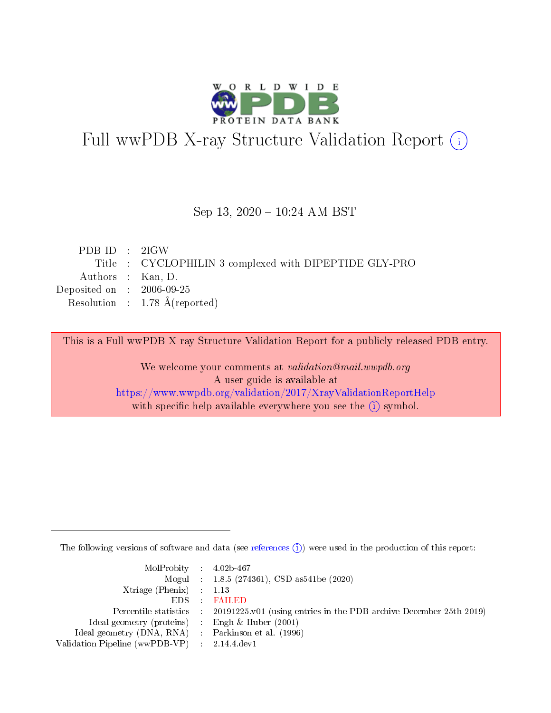

# Full wwPDB X-ray Structure Validation Report (i)

### Sep 13, 2020 - 10:24 AM BST

| PDBID : 2IGW                                           |
|--------------------------------------------------------|
| Title : CYCLOPHILIN 3 complexed with DIPEPTIDE GLY-PRO |
| Authors : Kan, D.                                      |
| Deposited on : $2006-09-25$                            |
| Resolution : $1.78 \text{ Å}$ (reported)               |
|                                                        |

This is a Full wwPDB X-ray Structure Validation Report for a publicly released PDB entry.

We welcome your comments at validation@mail.wwpdb.org A user guide is available at <https://www.wwpdb.org/validation/2017/XrayValidationReportHelp> with specific help available everywhere you see the  $(i)$  symbol.

The following versions of software and data (see [references](https://www.wwpdb.org/validation/2017/XrayValidationReportHelp#references)  $(i)$ ) were used in the production of this report:

| $MolProbability$ 4.02b-467                          |                                                                    |
|-----------------------------------------------------|--------------------------------------------------------------------|
|                                                     | Mogul : $1.8.5$ (274361), CSD as 541be (2020)                      |
| Xtriage (Phenix) $: 1.13$                           |                                                                    |
| EDS :                                               | <b>FAILED</b>                                                      |
| Percentile statistics :                             | 20191225.v01 (using entries in the PDB archive December 25th 2019) |
| Ideal geometry (proteins) :                         | Engh $\&$ Huber (2001)                                             |
| Ideal geometry (DNA, RNA) : Parkinson et al. (1996) |                                                                    |
| Validation Pipeline (wwPDB-VP) : 2.14.4.dev1        |                                                                    |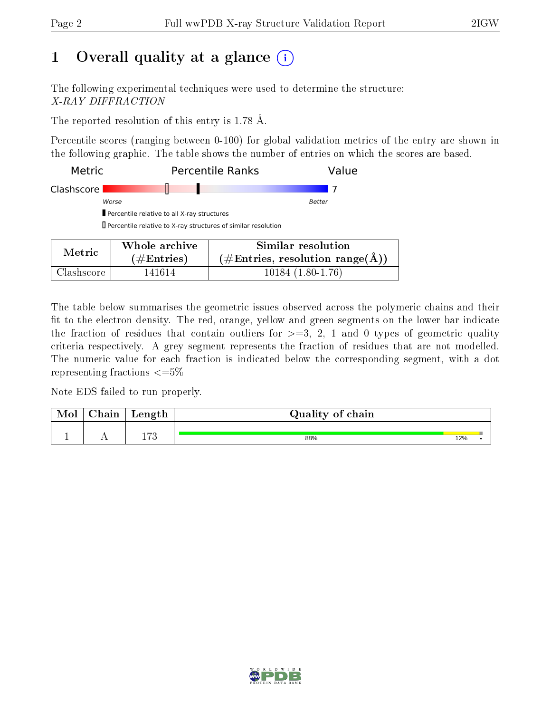# 1 [O](https://www.wwpdb.org/validation/2017/XrayValidationReportHelp#overall_quality)verall quality at a glance  $(i)$

The following experimental techniques were used to determine the structure: X-RAY DIFFRACTION

The reported resolution of this entry is 1.78 Å.

Percentile scores (ranging between 0-100) for global validation metrics of the entry are shown in the following graphic. The table shows the number of entries on which the scores are based.

| Metric     |                                                                      | <b>Percentile Ranks</b>                                                | Value |
|------------|----------------------------------------------------------------------|------------------------------------------------------------------------|-------|
| Clashscore |                                                                      |                                                                        |       |
|            | Worse                                                                | <b>Better</b>                                                          |       |
|            | Percentile relative to all X-ray structures                          |                                                                        |       |
|            | $\Box$ Percentile relative to X-ray structures of similar resolution |                                                                        |       |
| Metric     | Whole archive                                                        | Similar resolution                                                     |       |
|            | $\#\text{Entries}$ )                                                 | $(\#\text{Entries},\,\text{resolution}\,\,\text{range}(\textup{\AA}))$ |       |

Clashscore 141614 10184 (1.80-1.76)

The table below summarises the geometric issues observed across the polymeric chains and their fit to the electron density. The red, orange, yellow and green segments on the lower bar indicate the fraction of residues that contain outliers for  $\geq =3$ , 2, 1 and 0 types of geometric quality criteria respectively. A grey segment represents the fraction of residues that are not modelled. The numeric value for each fraction is indicated below the corresponding segment, with a dot representing fractions  $\leq=5\%$ 

Note EDS failed to run properly.

| Mol | Chain | Length | Quality of chain |     |  |
|-----|-------|--------|------------------|-----|--|
|     |       | ר ד    | 88%              | 12% |  |

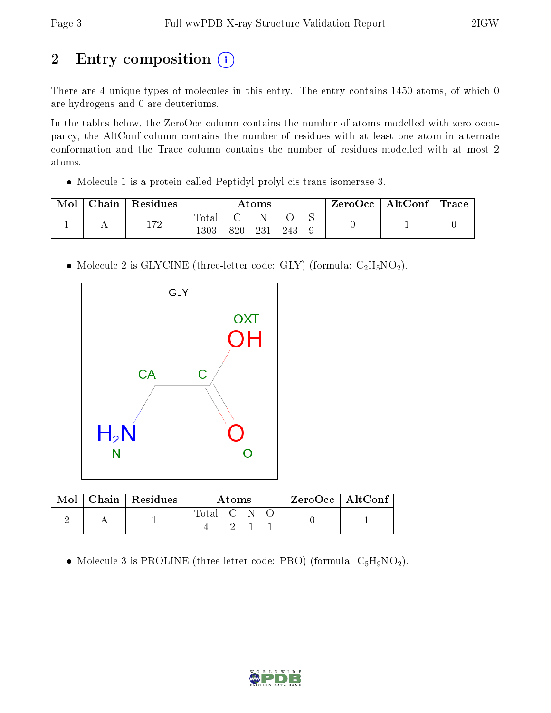# 2 Entry composition (i)

There are 4 unique types of molecules in this entry. The entry contains 1450 atoms, of which 0 are hydrogens and 0 are deuteriums.

In the tables below, the ZeroOcc column contains the number of atoms modelled with zero occupancy, the AltConf column contains the number of residues with at least one atom in alternate conformation and the Trace column contains the number of residues modelled with at most 2 atoms.

Molecule 1 is a protein called Peptidyl-prolyl cis-trans isomerase 3.

| Mol | $^\circ$ hain | $\,$ Residues $\,$ | Atoms          |      |     | $ZeroOcc$   AltConf   Trace |  |  |  |
|-----|---------------|--------------------|----------------|------|-----|-----------------------------|--|--|--|
|     |               | 179                | $_{\rm Total}$ |      |     |                             |  |  |  |
|     |               | 1 I 4              |                | 820. | 231 | 243                         |  |  |  |

• Molecule 2 is GLYCINE (three-letter code: GLY) (formula:  $C_2H_5NO_2$ ).



|  | Mol   Chain   Residues | A toms      |  |  |  | ZeroOcc   AltConf |
|--|------------------------|-------------|--|--|--|-------------------|
|  |                        | Total C N O |  |  |  |                   |

• Molecule 3 is PROLINE (three-letter code: PRO) (formula:  $C_5H_9NO_2$ ).

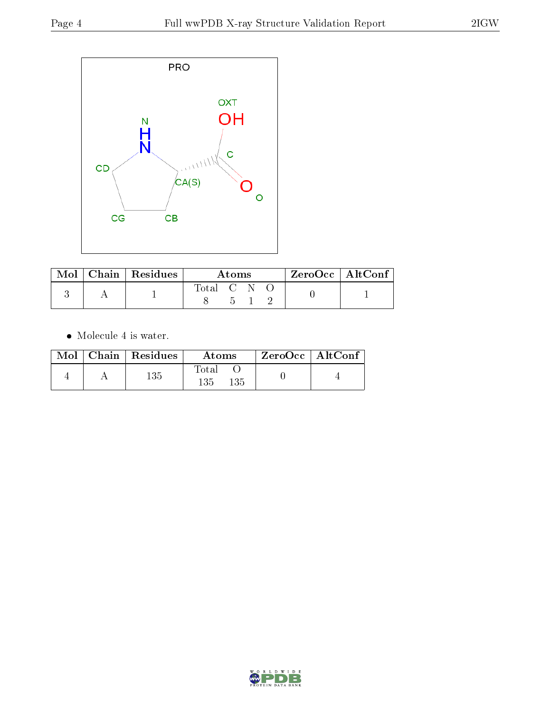

|  | $\text{Mol}$   Chain   Residues | Atoms                    |       |  | ZeroOcc   AltConf |  |
|--|---------------------------------|--------------------------|-------|--|-------------------|--|
|  |                                 | Total C $\overline{N}$ O |       |  |                   |  |
|  |                                 |                          | $5 -$ |  |                   |  |

 $\bullet\,$  Molecule 4 is water.

| Mol | $\mid$ Chain $\mid$ Residues | Atoms               | $\mid$ ZeroOcc $\mid$ AltConf $\mid$ |  |
|-----|------------------------------|---------------------|--------------------------------------|--|
|     | 135                          | Total<br>135<br>135 |                                      |  |

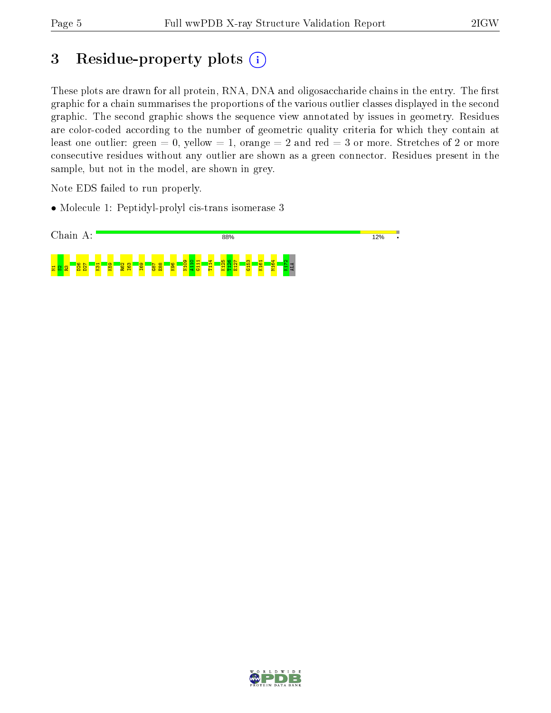# 3 Residue-property plots (i)

These plots are drawn for all protein, RNA, DNA and oligosaccharide chains in the entry. The first graphic for a chain summarises the proportions of the various outlier classes displayed in the second graphic. The second graphic shows the sequence view annotated by issues in geometry. Residues are color-coded according to the number of geometric quality criteria for which they contain at least one outlier: green  $= 0$ , yellow  $= 1$ , orange  $= 2$  and red  $= 3$  or more. Stretches of 2 or more consecutive residues without any outlier are shown as a green connector. Residues present in the sample, but not in the model, are shown in grey.

Note EDS failed to run properly.

• Molecule 1: Peptidyl-prolyl cis-trans isomerase 3



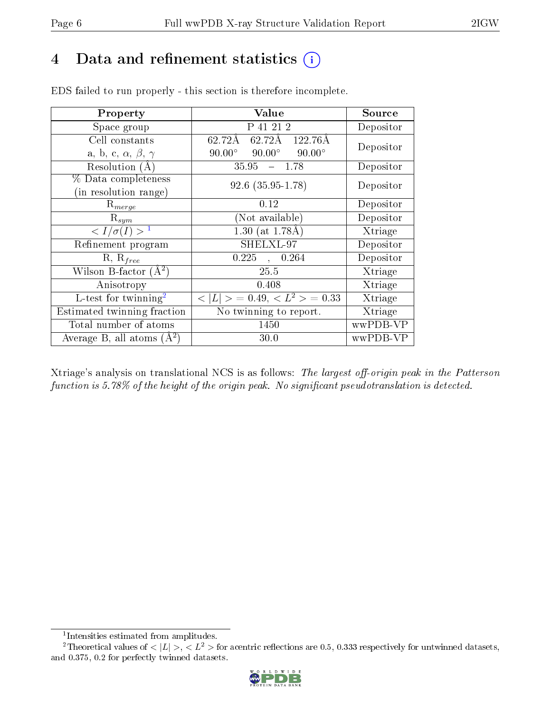# 4 Data and refinement statistics (i)

| Property                               | Value                                                  | Source    |
|----------------------------------------|--------------------------------------------------------|-----------|
| Space group                            | P 41 21 2                                              | Depositor |
| Cell constants                         | $62.72\text{\AA}$ $62.72\text{\AA}$ $122.76\text{\AA}$ | Depositor |
| a, b, c, $\alpha$ , $\beta$ , $\gamma$ | $90.00^{\circ}$ $90.00^{\circ}$<br>$90.00^\circ$       |           |
| Resolution $(A)$                       | $35.95 - 1.78$                                         | Depositor |
| % Data completeness                    | $92.6$ $(35.95-1.78)$                                  | Depositor |
| (in resolution range)                  |                                                        |           |
| $\mathrm{R}_{merge}$                   | 0.12                                                   | Depositor |
| $\mathrm{R}_{sym}$                     | (Not available)                                        | Depositor |
| $\langle I/\sigma(I) \rangle^{-1}$     | 1.30 (at $1.78\text{\AA}$ )                            | Xtriage   |
| Refinement program                     | SHELXL-97                                              | Depositor |
| $R, R_{free}$                          | 0.225<br>0.264                                         | Depositor |
| Wilson B-factor $(A^2)$                | 25.5                                                   | Xtriage   |
| Anisotropy                             | 0.408                                                  | Xtriage   |
| L-test for twinning <sup>2</sup>       | $< L >$ = 0.49, $\overline{< L^2>}$ = 0.33             | Xtriage   |
| Estimated twinning fraction            | $\overline{\text{No}}$ twinning to report.             | Xtriage   |
| Total number of atoms                  | 1450                                                   | wwPDB-VP  |
| Average B, all atoms $(A^2)$           | 30.0                                                   | wwPDB-VP  |

EDS failed to run properly - this section is therefore incomplete.

Xtriage's analysis on translational NCS is as follows: The largest off-origin peak in the Patterson function is 5.78% of the height of the origin peak. No significant pseudotranslation is detected.

<sup>&</sup>lt;sup>2</sup>Theoretical values of  $\langle |L| \rangle, \langle L^2 \rangle$  for acentric reflections are 0.5, 0.333 respectively for untwinned datasets, and 0.375, 0.2 for perfectly twinned datasets.



<span id="page-5-1"></span><span id="page-5-0"></span><sup>1</sup> Intensities estimated from amplitudes.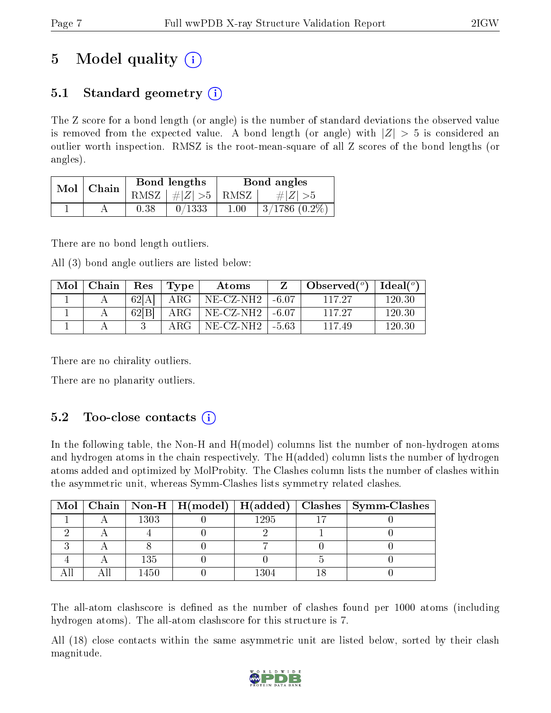# 5 Model quality  $(i)$

## 5.1 Standard geometry  $\overline{()}$

The Z score for a bond length (or angle) is the number of standard deviations the observed value is removed from the expected value. A bond length (or angle) with  $|Z| > 5$  is considered an outlier worth inspection. RMSZ is the root-mean-square of all Z scores of the bond lengths (or angles).

| Mol |       |      | Bond lengths                     |          | Bond angles     |
|-----|-------|------|----------------------------------|----------|-----------------|
|     | Chain |      | RMSZ $\mid \#  Z  > 5 \mid$ RMSZ |          | $\# Z  > 5$     |
|     |       | 0.38 | 0/1333                           | $1.00\,$ | $3/1786(0.2\%)$ |

There are no bond length outliers.

All (3) bond angle outliers are listed below:

| Mol | Chain | $\operatorname{Res}% \left( \mathcal{N}\right) \equiv\operatorname{Res}(\mathcal{N}_{0})\left( \mathcal{N}_{0}\right) ^{2}$ | Type          | Atoms                               |       | Observed $\binom{o}{c}$ | Ideal $({}^o)$ |
|-----|-------|-----------------------------------------------------------------------------------------------------------------------------|---------------|-------------------------------------|-------|-------------------------|----------------|
|     |       | 62[A]                                                                                                                       | ${\rm ARG}^-$ | $NE- CZ-NH2$   $-6.07$              |       | 117.27                  | 120.30         |
|     |       | 62 B                                                                                                                        | ARG           | $NE{\text -}CZ{\text -}NH2$   -6.07 |       | 117.27                  | 120.30         |
|     |       |                                                                                                                             | ARG           | $NE$ -CZ-NH2 $ $                    | -5.63 | 117.49                  | 120.30         |

There are no chirality outliers.

There are no planarity outliers.

## 5.2 Too-close contacts  $(i)$

In the following table, the Non-H and H(model) columns list the number of non-hydrogen atoms and hydrogen atoms in the chain respectively. The H(added) column lists the number of hydrogen atoms added and optimized by MolProbity. The Clashes column lists the number of clashes within the asymmetric unit, whereas Symm-Clashes lists symmetry related clashes.

|  |      |      | Mol   Chain   Non-H   H(model)   H(added)   Clashes   Symm-Clashes |
|--|------|------|--------------------------------------------------------------------|
|  | 1303 | 1295 |                                                                    |
|  |      |      |                                                                    |
|  |      |      |                                                                    |
|  | 135  |      |                                                                    |
|  | 1450 | 1304 |                                                                    |

The all-atom clashscore is defined as the number of clashes found per 1000 atoms (including hydrogen atoms). The all-atom clashscore for this structure is 7.

All (18) close contacts within the same asymmetric unit are listed below, sorted by their clash magnitude.

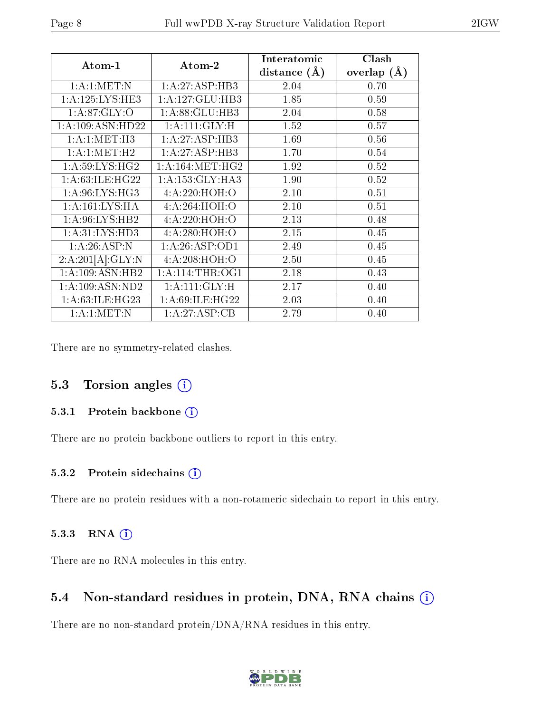| Atom-1                           | Atom-2              | Interatomic    | Clash           |  |
|----------------------------------|---------------------|----------------|-----------------|--|
|                                  |                     | distance $(A)$ | overlap $(\AA)$ |  |
| 1: A: 1: MET: N                  | 1:A:27:ASP:HB3      | 2.04           | 0.70            |  |
| 1: A: 125: LYS: HE3              | 1: A:127: GLU:HB3   | 1.85           | 0.59            |  |
| 1: A:87: GLY:O                   | 1:A:88:GLU:HB3      | 2.04           | 0.58            |  |
| 1:A:109:ASN:HD22                 | 1: A:111: GLY: H    | 1.52           | 0.57            |  |
| 1: A:1: MET:H3                   | 1:A:27:ASP:HB3      | 1.69           | 0.56            |  |
| 1: A: 1: MET:H2                  | 1:A:27:ASP:HB3      | 1.70           | 0.54            |  |
| 1: A:59: LYS: HG2                | 1: A: 164: MET: HG2 | 1.92           | 0.52            |  |
| 1: A:63: ILE: H <sub>G22</sub>   | 1:A:153:GLY:HA3     | 1.90           | 0.52            |  |
| 1: A:96: LYS:HG3                 | 4:A:220:HOH:O       | 2.10           | 0.51            |  |
| 1:A:161:LYS:HA                   | 4:A:264:HOH:O       | 2.10           | 0.51            |  |
| 1: A:96: LYS: HB2                | 4:A:220:HOH:O       | 2.13           | 0.48            |  |
| 1:A:31:LYS:HD3                   | 4:A:280:HOH:O       | 2.15           | 0.45            |  |
| 1: A:26:ASP:N                    | 1: A:26: ASP:OD1    | 2.49           | 0.45            |  |
| 2:A:201[A]:GLY:N                 | 4: A:208:HOH:O      | 2.50           | 0.45            |  |
| 1: A:109: ASN:HB2                | 1: A:114:THR:OG1    | 2.18           | 0.43            |  |
| $1: A: 109: ASN: \overline{ND2}$ | 1: A:111: GLY: H    | 2.17           | 0.40            |  |
| 1: A:63: ILE: HG23               | 1: A:69: ILE: HG22  | 2.03           | 0.40            |  |
| 1: A: 1: MET: N                  | 1:A:27:ASP:CB       | 2.79           | 0.40            |  |

There are no symmetry-related clashes.

#### 5.3 Torsion angles (i)

#### 5.3.1 Protein backbone (i)

There are no protein backbone outliers to report in this entry.

#### 5.3.2 Protein sidechains (i)

There are no protein residues with a non-rotameric sidechain to report in this entry.

#### 5.3.3 RNA [O](https://www.wwpdb.org/validation/2017/XrayValidationReportHelp#rna)i

There are no RNA molecules in this entry.

#### 5.4 Non-standard residues in protein, DNA, RNA chains (i)

There are no non-standard protein/DNA/RNA residues in this entry.

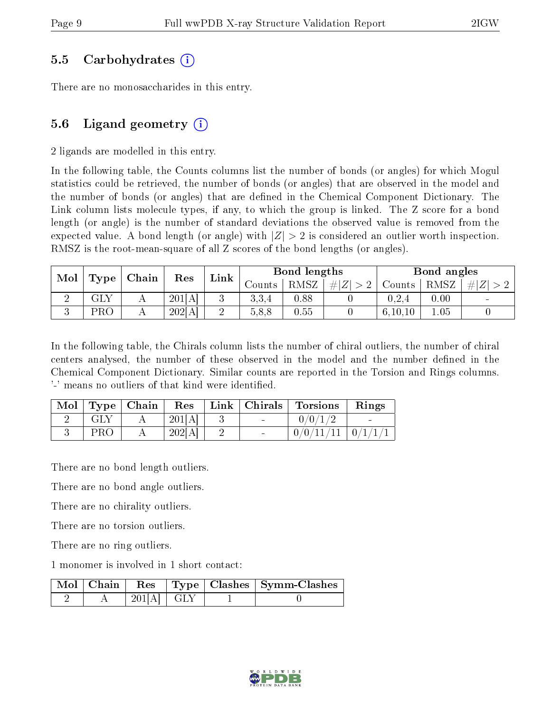### 5.5 Carbohydrates (i)

There are no monosaccharides in this entry.

## 5.6 Ligand geometry  $(i)$

2 ligands are modelled in this entry.

In the following table, the Counts columns list the number of bonds (or angles) for which Mogul statistics could be retrieved, the number of bonds (or angles) that are observed in the model and the number of bonds (or angles) that are defined in the Chemical Component Dictionary. The Link column lists molecule types, if any, to which the group is linked. The Z score for a bond length (or angle) is the number of standard deviations the observed value is removed from the expected value. A bond length (or angle) with  $|Z| > 2$  is considered an outlier worth inspection. RMSZ is the root-mean-square of all Z scores of the bond lengths (or angles).

| Mol |      | Chain |        | Link   | Bond lengths |      |     | Bond angles |      |        |
|-----|------|-------|--------|--------|--------------|------|-----|-------------|------|--------|
|     | Type |       | Res    |        | Jounts .     | RMSZ | # Z | Counts      | RMSZ | # Z    |
|     | GLY  |       | 201[A] |        | 3,3,4        | 0.88 |     | 0.2.4       | 0.00 | $\sim$ |
|     | PRO  |       | 202[A] | ົ<br>↵ | 5,8,8        | 0.55 |     | 6, 10, 10   | 1.05 |        |

In the following table, the Chirals column lists the number of chiral outliers, the number of chiral centers analysed, the number of these observed in the model and the number defined in the Chemical Component Dictionary. Similar counts are reported in the Torsion and Rings columns. '-' means no outliers of that kind were identified.

|            | $\vert$ Mol $\vert$ Type $\vert$ Chain $\vert$ | Res    | $ \text{Link} \text{ Christmas} $ | $\mid$ Torsions $\mid$  | Rings |
|------------|------------------------------------------------|--------|-----------------------------------|-------------------------|-------|
| GLY        |                                                | 201[A] |                                   | 0/0/1/2                 |       |
| <b>PRO</b> |                                                | 202[A] |                                   | $0/0/11/11$   $0/1/1/1$ |       |

There are no bond length outliers.

There are no bond angle outliers.

There are no chirality outliers.

There are no torsion outliers.

There are no ring outliers.

1 monomer is involved in 1 short contact:

|  |            |  | Mol   Chain   Res   Type   Clashes   Symm-Clashes |
|--|------------|--|---------------------------------------------------|
|  | 2011AL GLY |  |                                                   |

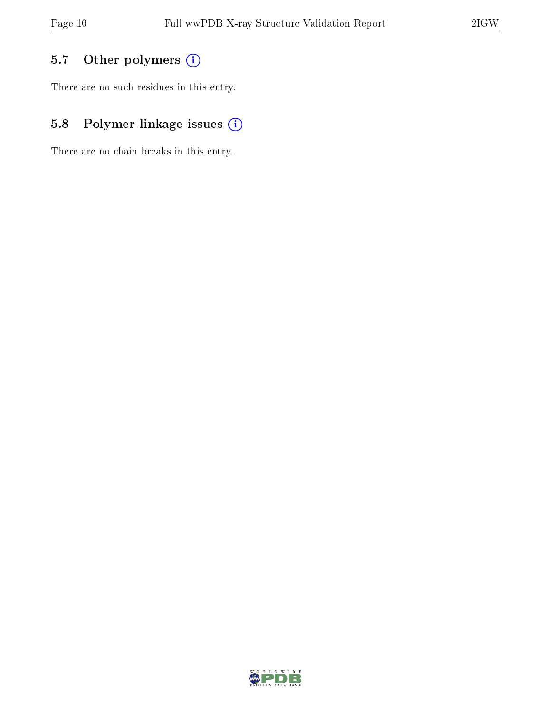# 5.7 [O](https://www.wwpdb.org/validation/2017/XrayValidationReportHelp#nonstandard_residues_and_ligands)ther polymers (i)

There are no such residues in this entry.

# 5.8 Polymer linkage issues (i)

There are no chain breaks in this entry.